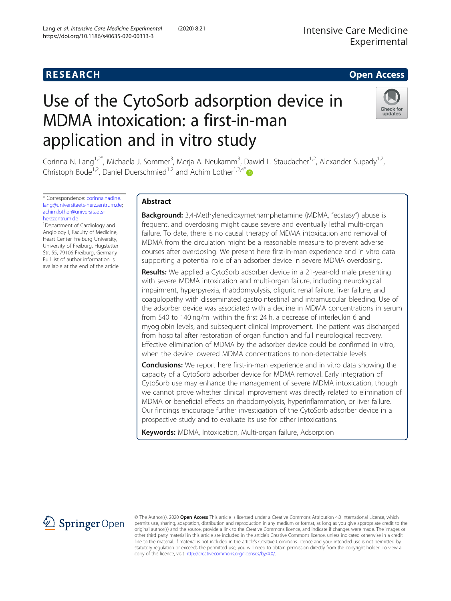## Intensive Care Medicine Experimental

## **RESEARCH CHE CHE Open Access**

# Use of the CytoSorb adsorption device in MDMA intoxication: a first-in-man application and in vitro study



Corinna N. Lang<sup>1,2\*</sup>, Michaela J. Sommer<sup>3</sup>, Merja A. Neukamm<sup>3</sup>, Dawid L. Staudacher<sup>1,2</sup>, Alexander Supady<sup>1,2</sup>, Christoph Bode<sup>1,2</sup>, Daniel Duerschmied<sup>1,2</sup> and Achim Lother<sup>1,2,4[\\*](http://orcid.org/0000-0001-9107-5558)</sup>

\* Correspondence: [corinna.nadine.](mailto:corinna.nadine.lang@universitaets-herzzentrum.de) [lang@universitaets-herzzentrum.de](mailto:corinna.nadine.lang@universitaets-herzzentrum.de); [achim.lother@universitaets](mailto:achim.lother@universitaets-herzzentrum.de)[herzzentrum.de](mailto:achim.lother@universitaets-herzzentrum.de)

<sup>1</sup> Department of Cardiology and Angiology I, Faculty of Medicine, Heart Center Freiburg University, University of Freiburg, Hugstetter Str. 55, 79106 Freiburg, Germany Full list of author information is available at the end of the article

## Abstract

**Background:** 3,4-Methylenedioxymethamphetamine (MDMA, "ecstasy") abuse is frequent, and overdosing might cause severe and eventually lethal multi-organ failure. To date, there is no causal therapy of MDMA intoxication and removal of MDMA from the circulation might be a reasonable measure to prevent adverse courses after overdosing. We present here first-in-man experience and in vitro data supporting a potential role of an adsorber device in severe MDMA overdosing.

**Results:** We applied a CytoSorb adsorber device in a 21-year-old male presenting with severe MDMA intoxication and multi-organ failure, including neurological impairment, hyperpyrexia, rhabdomyolysis, oliguric renal failure, liver failure, and coagulopathy with disseminated gastrointestinal and intramuscular bleeding. Use of the adsorber device was associated with a decline in MDMA concentrations in serum from 540 to 140 ng/ml within the first 24 h, a decrease of interleukin 6 and myoglobin levels, and subsequent clinical improvement. The patient was discharged from hospital after restoration of organ function and full neurological recovery. Effective elimination of MDMA by the adsorber device could be confirmed in vitro, when the device lowered MDMA concentrations to non-detectable levels.

**Conclusions:** We report here first-in-man experience and in vitro data showing the capacity of a CytoSorb adsorber device for MDMA removal. Early integration of CytoSorb use may enhance the management of severe MDMA intoxication, though we cannot prove whether clinical improvement was directly related to elimination of MDMA or beneficial effects on rhabdomyolysis, hyperinflammation, or liver failure. Our findings encourage further investigation of the CytoSorb adsorber device in a prospective study and to evaluate its use for other intoxications.

Keywords: MDMA, Intoxication, Multi-organ failure, Adsorption



© The Author(s). 2020 Open Access This article is licensed under a Creative Commons Attribution 4.0 International License, which permits use, sharing, adaptation, distribution and reproduction in any medium or format, as long as you give appropriate credit to the original author(s) and the source, provide a link to the Creative Commons licence, and indicate if changes were made. The images or other third party material in this article are included in the article's Creative Commons licence, unless indicated otherwise in a credit line to the material. If material is not included in the article's Creative Commons licence and your intended use is not permitted by statutory regulation or exceeds the permitted use, you will need to obtain permission directly from the copyright holder. To view a copy of this licence, visit <http://creativecommons.org/licenses/by/4.0/>.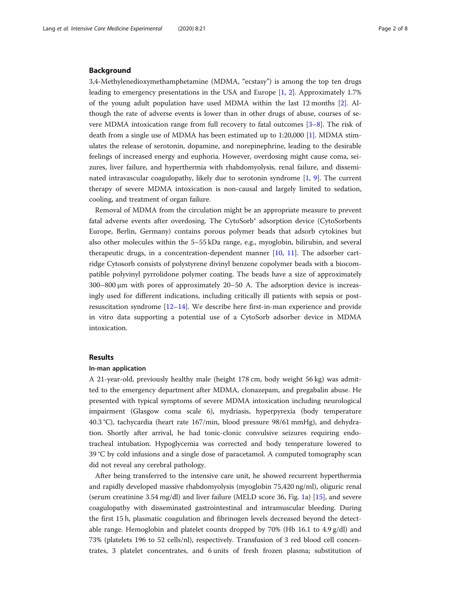#### Background

3,4-Methylenedioxymethamphetamine (MDMA, "ecstasy") is among the top ten drugs leading to emergency presentations in the USA and Europe [[1,](#page-6-0) [2](#page-6-0)]. Approximately 1.7% of the young adult population have used MDMA within the last 12 months [[2\]](#page-6-0). Although the rate of adverse events is lower than in other drugs of abuse, courses of severe MDMA intoxication range from full recovery to fatal outcomes [\[3](#page-7-0)–[8](#page-7-0)]. The risk of death from a single use of MDMA has been estimated up to 1:20,000 [[1\]](#page-6-0). MDMA stimulates the release of serotonin, dopamine, and norepinephrine, leading to the desirable feelings of increased energy and euphoria. However, overdosing might cause coma, seizures, liver failure, and hyperthermia with rhabdomyolysis, renal failure, and disseminated intravascular coagulopathy, likely due to serotonin syndrome [\[1](#page-6-0), [9\]](#page-7-0). The current therapy of severe MDMA intoxication is non-causal and largely limited to sedation, cooling, and treatment of organ failure.

Removal of MDMA from the circulation might be an appropriate measure to prevent fatal adverse events after overdosing. The CytoSorb® adsorption device (CytoSorbents Europe, Berlin, Germany) contains porous polymer beads that adsorb cytokines but also other molecules within the 5–55 kDa range, e.g., myoglobin, bilirubin, and several therapeutic drugs, in a concentration-dependent manner [\[10](#page-7-0), [11](#page-7-0)]. The adsorber cartridge Cytosorb consists of polystyrene divinyl benzene copolymer beads with a biocompatible polyvinyl pyrrolidone polymer coating. The beads have a size of approximately 300–800 μm with pores of approximately 20–50 A. The adsorption device is increasingly used for different indications, including critically ill patients with sepsis or postresuscitation syndrome [\[12](#page-7-0)–[14\]](#page-7-0). We describe here first-in-man experience and provide in vitro data supporting a potential use of a CytoSorb adsorber device in MDMA intoxication.

#### Results

#### In-man application

A 21-year-old, previously healthy male (height 178 cm, body weight 56 kg) was admitted to the emergency department after MDMA, clonazepam, and pregabalin abuse. He presented with typical symptoms of severe MDMA intoxication including neurological impairment (Glasgow coma scale 6), mydriasis, hyperpyrexia (body temperature 40.3 °C), tachycardia (heart rate 167/min, blood pressure 98/61 mmHg), and dehydration. Shortly after arrival, he had tonic-clonic convulsive seizures requiring endotracheal intubation. Hypoglycemia was corrected and body temperature lowered to 39 °C by cold infusions and a single dose of paracetamol. A computed tomography scan did not reveal any cerebral pathology.

After being transferred to the intensive care unit, he showed recurrent hyperthermia and rapidly developed massive rhabdomyolysis (myoglobin 75,420 ng/ml), oliguric renal (serum creatinine 3.54 mg/dl) and liver failure (MELD score 36, Fig. [1](#page-2-0)a) [[15](#page-7-0)], and severe coagulopathy with disseminated gastrointestinal and intramuscular bleeding. During the first 15 h, plasmatic coagulation and fibrinogen levels decreased beyond the detectable range. Hemoglobin and platelet counts dropped by 70% (Hb 16.1 to 4.9 g/dl) and 73% (platelets 196 to 52 cells/nl), respectively. Transfusion of 3 red blood cell concentrates, 3 platelet concentrates, and 6 units of fresh frozen plasma; substitution of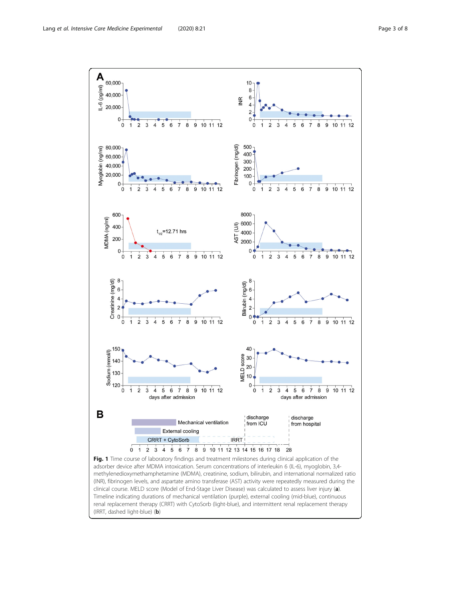<span id="page-2-0"></span>

(IRRT, dashed light-blue) (b)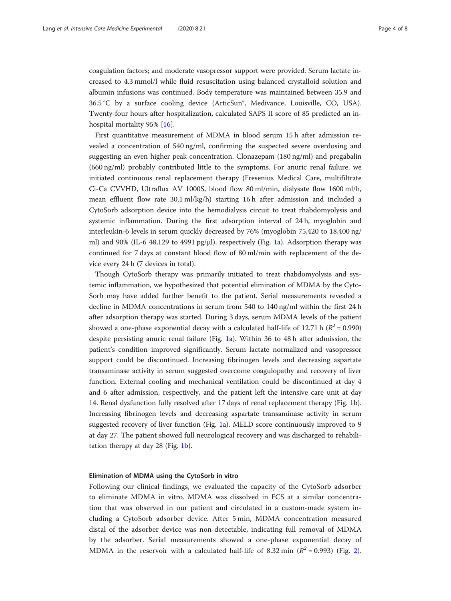coagulation factors; and moderate vasopressor support were provided. Serum lactate increased to 4.3 mmol/l while fluid resuscitation using balanced crystalloid solution and albumin infusions was continued. Body temperature was maintained between 35.9 and 36.5 °C by a surface cooling device (ArticSun®, Medivance, Louisville, CO, USA). Twenty-four hours after hospitalization, calculated SAPS II score of 85 predicted an inhospital mortality 95% [[16](#page-7-0)].

First quantitative measurement of MDMA in blood serum 15 h after admission revealed a concentration of 540 ng/ml, confirming the suspected severe overdosing and suggesting an even higher peak concentration. Clonazepam (180 ng/ml) and pregabalin (660 ng/ml) probably contributed little to the symptoms. For anuric renal failure, we initiated continuous renal replacement therapy (Fresenius Medical Care, multifiltrate Ci-Ca CVVHD, Ultraflux AV 1000S, blood flow 80 ml/min, dialysate flow 1600 ml/h, mean effluent flow rate 30.1 ml/kg/h) starting 16 h after admission and included a CytoSorb adsorption device into the hemodialysis circuit to treat rhabdomyolysis and systemic inflammation. During the first adsorption interval of 24 h, myoglobin and interleukin-6 levels in serum quickly decreased by 76% (myoglobin 75,420 to 18,400 ng/ ml) and 90% (IL-6 48,[1](#page-2-0)29 to 4991 pg/ $\mu$ l), respectively (Fig. 1a). Adsorption therapy was continued for 7 days at constant blood flow of 80 ml/min with replacement of the device every 24 h (7 devices in total).

Though CytoSorb therapy was primarily initiated to treat rhabdomyolysis and systemic inflammation, we hypothesized that potential elimination of MDMA by the Cyto-Sorb may have added further benefit to the patient. Serial measurements revealed a decline in MDMA concentrations in serum from 540 to 140 ng/ml within the first 24 h after adsorption therapy was started. During 3 days, serum MDMA levels of the patient showed a one-phase exponential decay with a calculated half-life of 12.71 h ( $R^2 = 0.990$ ) despite persisting anuric renal failure (Fig. [1a](#page-2-0)). Within 36 to 48 h after admission, the patient's condition improved significantly. Serum lactate normalized and vasopressor support could be discontinued. Increasing fibrinogen levels and decreasing aspartate transaminase activity in serum suggested overcome coagulopathy and recovery of liver function. External cooling and mechanical ventilation could be discontinued at day 4 and 6 after admission, respectively, and the patient left the intensive care unit at day 14. Renal dysfunction fully resolved after 17 days of renal replacement therapy (Fig. [1](#page-2-0)b). Increasing fibrinogen levels and decreasing aspartate transaminase activity in serum suggested recovery of liver function (Fig. [1](#page-2-0)a). MELD score continuously improved to 9 at day 27. The patient showed full neurological recovery and was discharged to rehabilitation therapy at day 28 (Fig. [1b](#page-2-0)).

#### Elimination of MDMA using the CytoSorb in vitro

Following our clinical findings, we evaluated the capacity of the CytoSorb adsorber to eliminate MDMA in vitro. MDMA was dissolved in FCS at a similar concentration that was observed in our patient and circulated in a custom-made system including a CytoSorb adsorber device. After 5 min, MDMA concentration measured distal of the adsorber device was non-detectable, indicating full removal of MDMA by the adsorber. Serial measurements showed a one-phase exponential decay of MDMA in the reservoir with a calculated half-life of 8.3[2](#page-4-0) min ( $R^2$  = 0.993) (Fig. 2).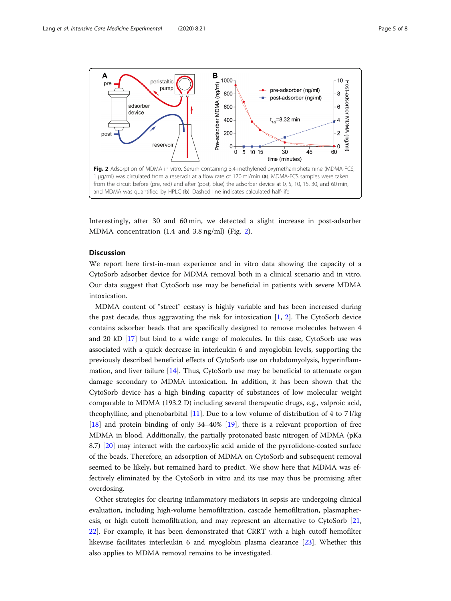<span id="page-4-0"></span>

Interestingly, after 30 and 60 min, we detected a slight increase in post-adsorber MDMA concentration (1.4 and 3.8 ng/ml) (Fig. 2).

### **Discussion**

We report here first-in-man experience and in vitro data showing the capacity of a CytoSorb adsorber device for MDMA removal both in a clinical scenario and in vitro. Our data suggest that CytoSorb use may be beneficial in patients with severe MDMA intoxication.

MDMA content of "street" ecstasy is highly variable and has been increased during the past decade, thus aggravating the risk for intoxication [[1,](#page-6-0) [2](#page-6-0)]. The CytoSorb device contains adsorber beads that are specifically designed to remove molecules between 4 and 20 kD [\[17](#page-7-0)] but bind to a wide range of molecules. In this case, CytoSorb use was associated with a quick decrease in interleukin 6 and myoglobin levels, supporting the previously described beneficial effects of CytoSorb use on rhabdomyolysis, hyperinflammation, and liver failure [\[14](#page-7-0)]. Thus, CytoSorb use may be beneficial to attenuate organ damage secondary to MDMA intoxication. In addition, it has been shown that the CytoSorb device has a high binding capacity of substances of low molecular weight comparable to MDMA (193.2 D) including several therapeutic drugs, e.g., valproic acid, theophylline, and phenobarbital [\[11](#page-7-0)]. Due to a low volume of distribution of 4 to 7 l/kg [[18\]](#page-7-0) and protein binding of only 34–40% [[19](#page-7-0)], there is a relevant proportion of free MDMA in blood. Additionally, the partially protonated basic nitrogen of MDMA (pKa 8.7) [\[20](#page-7-0)] may interact with the carboxylic acid amide of the pyrrolidone-coated surface of the beads. Therefore, an adsorption of MDMA on CytoSorb and subsequent removal seemed to be likely, but remained hard to predict. We show here that MDMA was effectively eliminated by the CytoSorb in vitro and its use may thus be promising after overdosing.

Other strategies for clearing inflammatory mediators in sepsis are undergoing clinical evaluation, including high-volume hemofiltration, cascade hemofiltration, plasmapheresis, or high cutoff hemofiltration, and may represent an alternative to CytoSorb [[21](#page-7-0), [22](#page-7-0)]. For example, it has been demonstrated that CRRT with a high cutoff hemofilter likewise facilitates interleukin 6 and myoglobin plasma clearance [\[23\]](#page-7-0). Whether this also applies to MDMA removal remains to be investigated.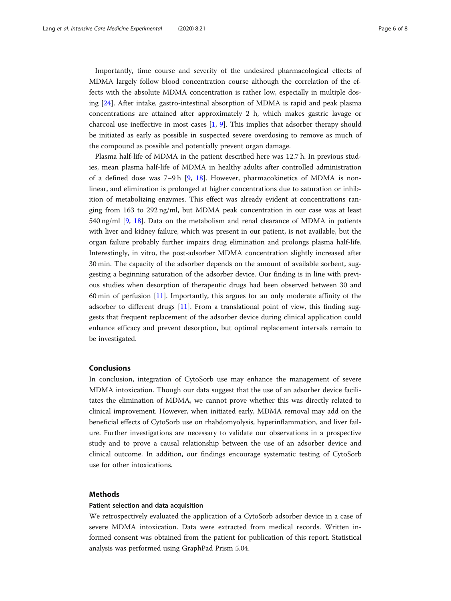Importantly, time course and severity of the undesired pharmacological effects of MDMA largely follow blood concentration course although the correlation of the effects with the absolute MDMA concentration is rather low, especially in multiple dosing [[24\]](#page-7-0). After intake, gastro-intestinal absorption of MDMA is rapid and peak plasma concentrations are attained after approximately 2 h, which makes gastric lavage or charcoal use ineffective in most cases [[1](#page-6-0), [9\]](#page-7-0). This implies that adsorber therapy should be initiated as early as possible in suspected severe overdosing to remove as much of the compound as possible and potentially prevent organ damage.

Plasma half-life of MDMA in the patient described here was 12.7 h. In previous studies, mean plasma half-life of MDMA in healthy adults after controlled administration of a defined dose was 7–9h [[9,](#page-7-0) [18](#page-7-0)]. However, pharmacokinetics of MDMA is nonlinear, and elimination is prolonged at higher concentrations due to saturation or inhibition of metabolizing enzymes. This effect was already evident at concentrations ranging from 163 to 292 ng/ml, but MDMA peak concentration in our case was at least 540 ng/ml [[9,](#page-7-0) [18](#page-7-0)]. Data on the metabolism and renal clearance of MDMA in patients with liver and kidney failure, which was present in our patient, is not available, but the organ failure probably further impairs drug elimination and prolongs plasma half-life. Interestingly, in vitro, the post-adsorber MDMA concentration slightly increased after 30 min. The capacity of the adsorber depends on the amount of available sorbent, suggesting a beginning saturation of the adsorber device. Our finding is in line with previous studies when desorption of therapeutic drugs had been observed between 30 and 60 min of perfusion [\[11](#page-7-0)]. Importantly, this argues for an only moderate affinity of the adsorber to different drugs [[11\]](#page-7-0). From a translational point of view, this finding suggests that frequent replacement of the adsorber device during clinical application could enhance efficacy and prevent desorption, but optimal replacement intervals remain to be investigated.

#### Conclusions

In conclusion, integration of CytoSorb use may enhance the management of severe MDMA intoxication. Though our data suggest that the use of an adsorber device facilitates the elimination of MDMA, we cannot prove whether this was directly related to clinical improvement. However, when initiated early, MDMA removal may add on the beneficial effects of CytoSorb use on rhabdomyolysis, hyperinflammation, and liver failure. Further investigations are necessary to validate our observations in a prospective study and to prove a causal relationship between the use of an adsorber device and clinical outcome. In addition, our findings encourage systematic testing of CytoSorb use for other intoxications.

#### Methods

#### Patient selection and data acquisition

We retrospectively evaluated the application of a CytoSorb adsorber device in a case of severe MDMA intoxication. Data were extracted from medical records. Written informed consent was obtained from the patient for publication of this report. Statistical analysis was performed using GraphPad Prism 5.04.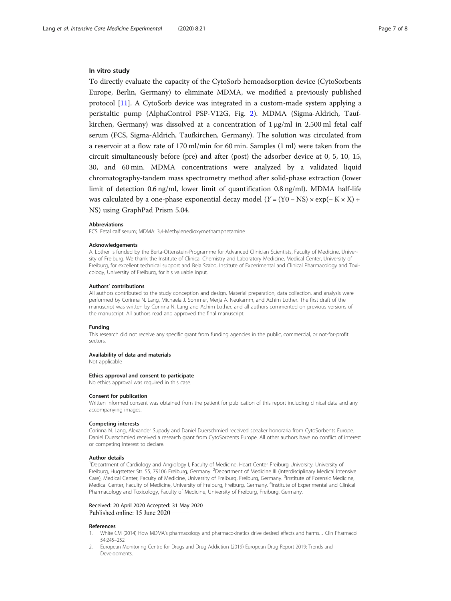#### <span id="page-6-0"></span>In vitro study

To directly evaluate the capacity of the CytoSorb hemoadsorption device (CytoSorbents Europe, Berlin, Germany) to eliminate MDMA, we modified a previously published protocol [[11\]](#page-7-0). A CytoSorb device was integrated in a custom-made system applying a peristaltic pump (AlphaControl PSP-V12G, Fig. [2](#page-4-0)). MDMA (Sigma-Aldrich, Taufkirchen, Germany) was dissolved at a concentration of  $1 \mu g/ml$  in 2.500 ml fetal calf serum (FCS, Sigma-Aldrich, Taufkirchen, Germany). The solution was circulated from a reservoir at a flow rate of 170 ml/min for 60 min. Samples (1 ml) were taken from the circuit simultaneously before (pre) and after (post) the adsorber device at 0, 5, 10, 15, 30, and 60 min. MDMA concentrations were analyzed by a validated liquid chromatography-tandem mass spectrometry method after solid-phase extraction (lower limit of detection 0.6 ng/ml, lower limit of quantification 0.8 ng/ml). MDMA half-life was calculated by a one-phase exponential decay model  $(Y = (Y0 - NS) \times exp(-K \times X))$  + NS) using GraphPad Prism 5.04.

#### Abbreviations

FCS: Fetal calf serum; MDMA: 3,4-Methylenedioxymethamphetamine

#### Acknowledgements

A. Lother is funded by the Berta-Ottenstein-Programme for Advanced Clinician Scientists, Faculty of Medicine, University of Freiburg. We thank the Institute of Clinical Chemistry and Laboratory Medicine, Medical Center, University of Freiburg, for excellent technical support and Bela Szabo, Institute of Experimental and Clinical Pharmacology and Toxicology, University of Freiburg, for his valuable input.

#### Authors' contributions

All authors contributed to the study conception and design. Material preparation, data collection, and analysis were performed by Corinna N. Lang, Michaela J. Sommer, Merja A. Neukamm, and Achim Lother. The first draft of the manuscript was written by Corinna N. Lang and Achim Lother, and all authors commented on previous versions of the manuscript. All authors read and approved the final manuscript.

#### Funding

This research did not receive any specific grant from funding agencies in the public, commercial, or not-for-profit sectors.

#### Availability of data and materials

Not applicable

#### Ethics approval and consent to participate

No ethics approval was required in this case.

#### Consent for publication

Written informed consent was obtained from the patient for publication of this report including clinical data and any accompanying images.

#### Competing interests

Corinna N. Lang, Alexander Supady and Daniel Duerschmied received speaker honoraria from CytoSorbents Europe. Daniel Duerschmied received a research grant from CytoSorbents Europe. All other authors have no conflict of interest or competing interest to declare.

#### Author details

<sup>1</sup>Department of Cardiology and Angiology I, Faculty of Medicine, Heart Center Freiburg University, University of Freiburg, Hugstetter Str. 55, 79106 Freiburg, Germany. <sup>2</sup>Department of Medicine III (Interdisciplinary Medical Intensive Care), Medical Center, Faculty of Medicine, University of Freiburg, Freiburg, Germany. <sup>3</sup>Institute of Forensic Medicine, Medical Center, Faculty of Medicine, University of Freiburg, Freiburg, Germany. <sup>4</sup>Institute of Experimental and Clinical Pharmacology and Toxicology, Faculty of Medicine, University of Freiburg, Freiburg, Germany.

#### Received: 20 April 2020 Accepted: 31 May 2020 Published online: 15 June 2020

#### References

- 1. White CM (2014) How MDMA's pharmacology and pharmacokinetics drive desired effects and harms. J Clin Pharmacol 54:245–252
- 2. European Monitoring Centre for Drugs and Drug Addiction (2019) European Drug Report 2019: Trends and Developments.